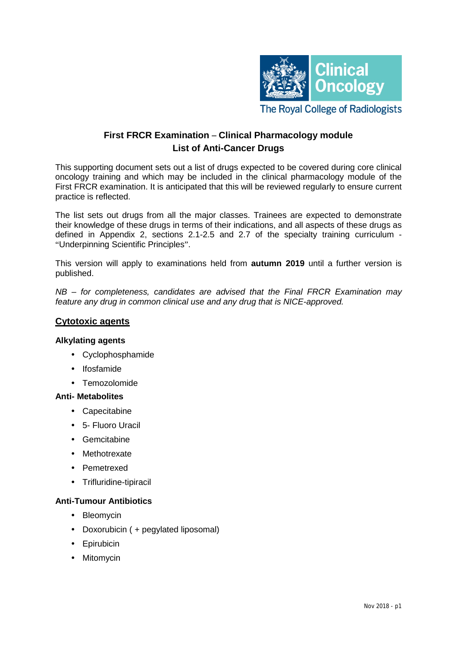

# **First FRCR Examination** – **Clinical Pharmacology module List of Anti-Cancer Drugs**

This supporting document sets out a list of drugs expected to be covered during core clinical oncology training and which may be included in the clinical pharmacology module of the First FRCR examination. It is anticipated that this will be reviewed regularly to ensure current practice is reflected.

The list sets out drugs from all the major classes. Trainees are expected to demonstrate their knowledge of these drugs in terms of their indications, and all aspects of these drugs as defined in Appendix 2, sections 2.1-2.5 and 2.7 of the specialty training curriculum - "Underpinning Scientific Principles".

This version will apply to examinations held from **autumn 2019** until a further version is published.

*NB – for completeness, candidates are advised that the Final FRCR Examination may feature any drug in common clinical use and any drug that is NICE-approved.* 

## **Cytotoxic agents**

#### **Alkylating agents**

- Cyclophosphamide
- Ifosfamide
- Temozolomide

#### **Anti- Metabolites**

- [Capecitabine](https://web.nhs.net/owa/redir.aspx?c=0c706d8a66fb4f43b2b8c48d917fba84&url=http%253a%252f%252fwww.bccancer.bc.ca%252fhpi%252fdrugdatabase%252fdrugindexpro%252fcapecitabine.htm)
- [5-](https://web.nhs.net/owa/redir.aspx?c=0c706d8a66fb4f43b2b8c48d917fba84&url=http%253a%252f%252fwww.bccancer.bc.ca%252fhpi%252fdrugdatabase%252fdrugindexpro%252fcapecitabine.htm) Fluoro Uracil
- Gemcitabine
- Methotrexate
- Pemetrexed
- Trifluridine-tipiracil

### **Anti-Tumour Antibiotics**

- [Bleomycin](https://web.nhs.net/owa/redir.aspx?c=0c706d8a66fb4f43b2b8c48d917fba84&url=http%253a%252f%252fwww.bccancer.bc.ca%252fhpi%252fdrugdatabase%252fdrugindexpro%252famifostine.htm)
- [Doxorubicin \( + pegylated](https://web.nhs.net/owa/redir.aspx?c=0c706d8a66fb4f43b2b8c48d917fba84&url=http%253a%252f%252fwww.bccancer.bc.ca%252fhpi%252fdrugdatabase%252fdrugindexpro%252fpld.htm) liposomal)
- [Epirubicin](https://web.nhs.net/owa/redir.aspx?c=0c706d8a66fb4f43b2b8c48d917fba84&url=http%253a%252f%252fwww.bccancer.bc.ca%252fhpi%252fdrugdatabase%252fdrugindexpro%252fepirubicin.htm)
- [Mitomycin](https://web.nhs.net/owa/redir.aspx?c=0c706d8a66fb4f43b2b8c48d917fba84&url=http%253a%252f%252fwww.bccancer.bc.ca%252fhpi%252fdrugdatabase%252fdrugindexpro%252fdoxorubicin.htm)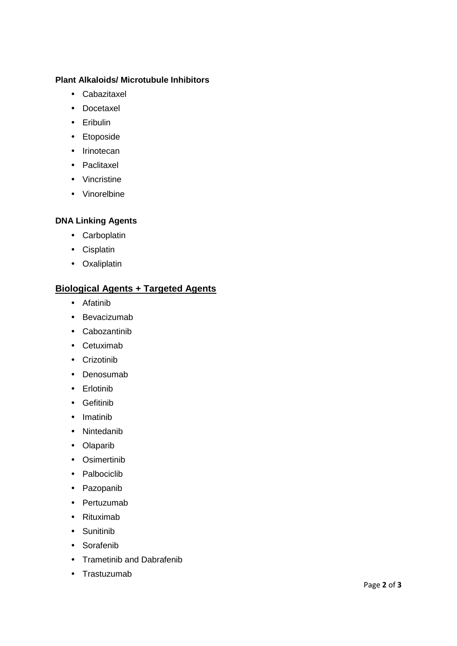### **Plant Alkaloids/ Microtubule Inhibitors**

- Cabazitaxel
- [Docetaxel](https://web.nhs.net/owa/redir.aspx?c=0c706d8a66fb4f43b2b8c48d917fba84&url=http%253a%252f%252fwww.bccancer.bc.ca%252fhpi%252fdrugdatabase%252fdrugindexpro%252fdocetaxel.htm)
- Eribulin
- Etoposide
- [Irinotecan](https://web.nhs.net/owa/redir.aspx?c=0c706d8a66fb4f43b2b8c48d917fba84&url=http%253a%252f%252fwww.bccancer.bc.ca%252fhpi%252fdrugdatabase%252fdrugindexpro%252firinotecan.htm)
- [Paclitaxel](https://web.nhs.net/owa/redir.aspx?c=0c706d8a66fb4f43b2b8c48d917fba84&url=http%253a%252f%252fwww.bccancer.bc.ca%252fhpi%252fdrugdatabase%252fdrugindexpro%252fpaclitaxel.htm)
- [Vincristine](https://web.nhs.net/owa/redir.aspx?c=0c706d8a66fb4f43b2b8c48d917fba84&url=http%253a%252f%252fwww.bccancer.bc.ca%252fhpi%252fdrugdatabase%252fdrugindexpro%252fvincristine.htm)
- Vinorelbine

### **DNA Linking Agents**

- [Carboplatin](https://web.nhs.net/owa/redir.aspx?c=0c706d8a66fb4f43b2b8c48d917fba84&url=http%253a%252f%252fwww.bccancer.bc.ca%252fhpi%252fdrugdatabase%252fdrugindexpro%252fcarboplatin.htm)
- [Cisplatin](https://web.nhs.net/owa/redir.aspx?c=0c706d8a66fb4f43b2b8c48d917fba84&url=http%253a%252f%252fwww.bccancer.bc.ca%252fhpi%252fdrugdatabase%252fdrugindexpro%252fcisplatin.htm)
- [Oxaliplatin](https://web.nhs.net/owa/redir.aspx?c=0c706d8a66fb4f43b2b8c48d917fba84&url=http%253a%252f%252fwww.bccancer.bc.ca%252fhpi%252fdrugdatabase%252fdrugindexpro%252foxaliplatin.htm)

## **Biological Agents + Targeted Agents**

- Afatinib
- [Bevacizumab](https://web.nhs.net/owa/redir.aspx?c=0c706d8a66fb4f43b2b8c48d917fba84&url=http%253a%252f%252fwww.bccancer.bc.ca%252fhpi%252fdrugdatabase%252fdrugindexpro%252fbevacizumab.htm)
- Cabozantinib
- [Cetuximab](https://web.nhs.net/owa/redir.aspx?c=0c706d8a66fb4f43b2b8c48d917fba84&url=http%253a%252f%252fwww.bccancer.bc.ca%252fhpi%252fdrugdatabase%252fdrugindexpro%252fcetuximab.htm)
- Crizotinib
- Denosumab
- Erlotinib
- [Gefitinib](https://web.nhs.net/owa/redir.aspx?c=0c706d8a66fb4f43b2b8c48d917fba84&url=http%253a%252f%252fwww.bccancer.bc.ca%252fhpi%252fdrugdatabase%252fdrugindexpro%252fgefitinib.htm)
- Imatinib
- Nintedanib
- Olaparib
- Osimertinib
- Palbociclib
- Pazopanib
- Pertuzumab
- Rituximab
- Sunitinib
- Sorafenib
- Trametinib and Dabrafenib
- Trastuzumab